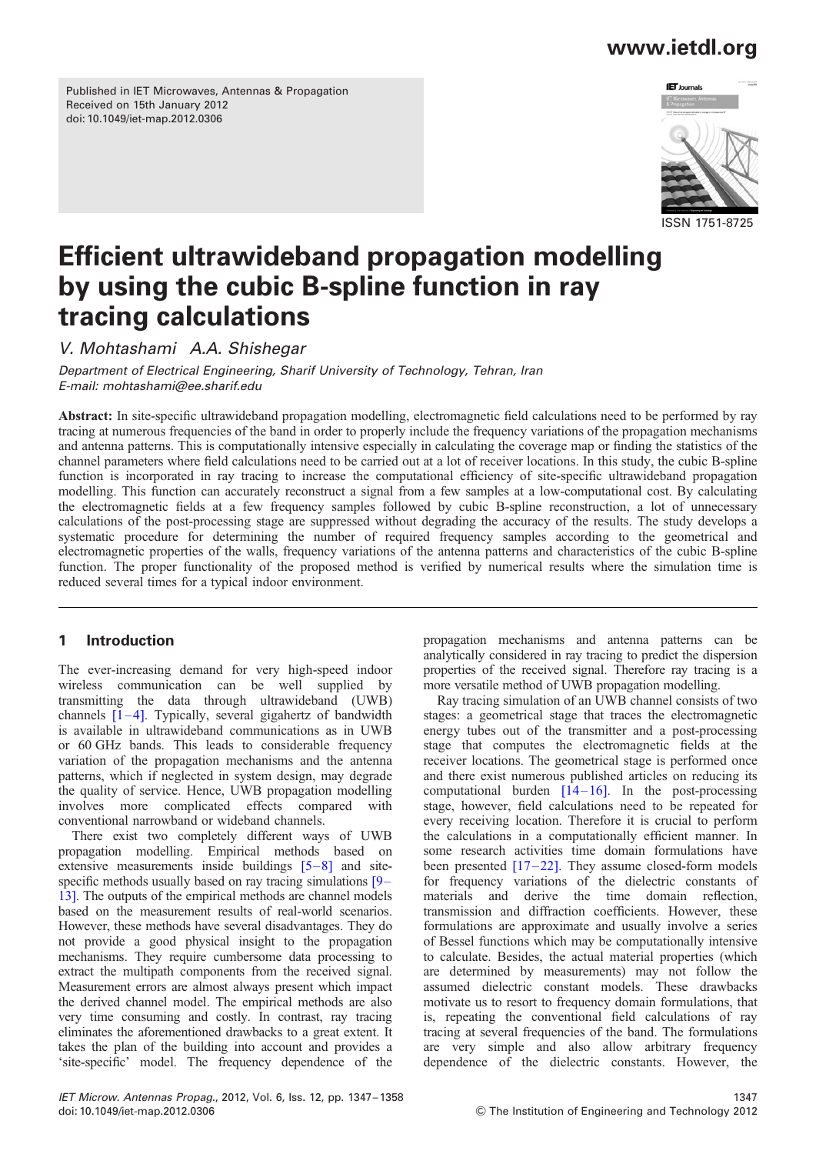Published in IET Microwaves, Antennas & Propagation Received on 15th January 2012 doi: 10.1049/iet-map.2012.0306



# Efficient ultrawideband propagation modelling by using the cubic B-spline function in ray tracing calculations

V. Mohtashami A.A. Shishegar

Department of Electrical Engineering, Sharif University of Technology, Tehran, Iran E-mail: mohtashami@ee.sharif.edu

Abstract: In site-specific ultrawideband propagation modelling, electromagnetic field calculations need to be performed by ray tracing at numerous frequencies of the band in order to properly include the frequency variations of the propagation mechanisms and antenna patterns. This is computationally intensive especially in calculating the coverage map or finding the statistics of the channel parameters where field calculations need to be carried out at a lot of receiver locations. In this study, the cubic B-spline function is incorporated in ray tracing to increase the computational efficiency of site-specific ultrawideband propagation modelling. This function can accurately reconstruct a signal from a few samples at a low-computational cost. By calculating the electromagnetic fields at a few frequency samples followed by cubic B-spline reconstruction, a lot of unnecessary calculations of the post-processing stage are suppressed without degrading the accuracy of the results. The study develops a systematic procedure for determining the number of required frequency samples according to the geometrical and electromagnetic properties of the walls, frequency variations of the antenna patterns and characteristics of the cubic B-spline function. The proper functionality of the proposed method is verified by numerical results where the simulation time is reduced several times for a typical indoor environment.

## 1 Introduction

The ever-increasing demand for very high-speed indoor wireless communication can be well supplied by transmitting the data through ultrawideband (UWB) channels  $[1-4]$ . Typically, several gigahertz of bandwidth is available in ultrawideband communications as in UWB or 60 GHz bands. This leads to considerable frequency variation of the propagation mechanisms and the antenna patterns, which if neglected in system design, may degrade the quality of service. Hence, UWB propagation modelling involves more complicated effects compared with conventional narrowband or wideband channels.

There exist two completely different ways of UWB propagation modelling. Empirical methods based on extensive measurements inside buildings  $[5-8]$  and sitespecific methods usually based on ray tracing simulations  $[9]$ 13]. The outputs of the empirical methods are channel models based on the measurement results of real-world scenarios. However, these methods have several disadvantages. They do not provide a good physical insight to the propagation mechanisms. They require cumbersome data processing to extract the multipath components from the received signal. Measurement errors are almost always present which impact the derived channel model. The empirical methods are also very time consuming and costly. In contrast, ray tracing eliminates the aforementioned drawbacks to a great extent. It takes the plan of the building into account and provides a 'site-specific' model. The frequency dependence of the propagation mechanisms and antenna patterns can be analytically considered in ray tracing to predict the dispersion properties of the received signal. Therefore ray tracing is a more versatile method of UWB propagation modelling.

Ray tracing simulation of an UWB channel consists of two stages: a geometrical stage that traces the electromagnetic energy tubes out of the transmitter and a post-processing stage that computes the electromagnetic fields at the receiver locations. The geometrical stage is performed once and there exist numerous published articles on reducing its computational burden  $[14-16]$ . In the post-processing stage, however, field calculations need to be repeated for every receiving location. Therefore it is crucial to perform the calculations in a computationally efficient manner. In some research activities time domain formulations have been presented  $[17-22]$ . They assume closed-form models for frequency variations of the dielectric constants of materials and derive the time domain reflection, transmission and diffraction coefficients. However, these formulations are approximate and usually involve a series of Bessel functions which may be computationally intensive to calculate. Besides, the actual material properties (which are determined by measurements) may not follow the assumed dielectric constant models. These drawbacks motivate us to resort to frequency domain formulations, that is, repeating the conventional field calculations of ray tracing at several frequencies of the band. The formulations are very simple and also allow arbitrary frequency dependence of the dielectric constants. However, the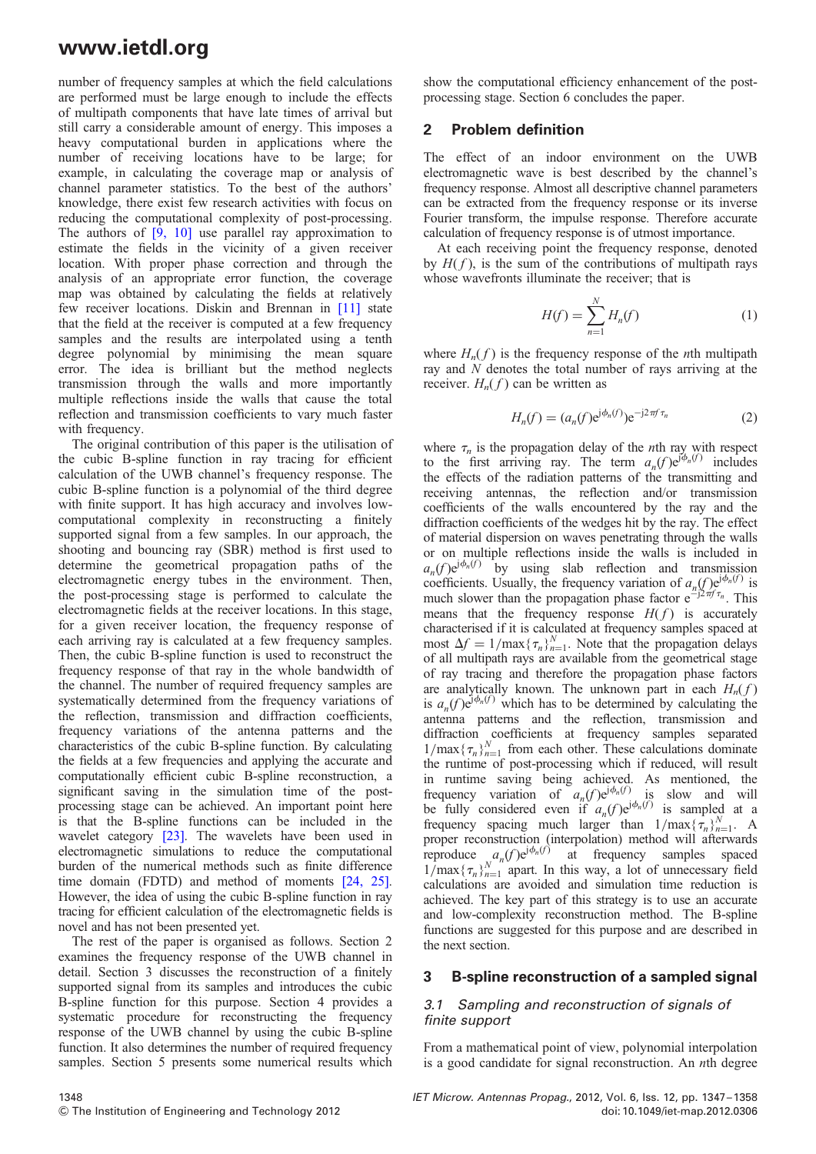number of frequency samples at which the field calculations are performed must be large enough to include the effects of multipath components that have late times of arrival but still carry a considerable amount of energy. This imposes a heavy computational burden in applications where the number of receiving locations have to be large; for example, in calculating the coverage map or analysis of channel parameter statistics. To the best of the authors' knowledge, there exist few research activities with focus on reducing the computational complexity of post-processing. The authors of [9, 10] use parallel ray approximation to estimate the fields in the vicinity of a given receiver location. With proper phase correction and through the analysis of an appropriate error function, the coverage map was obtained by calculating the fields at relatively few receiver locations. Diskin and Brennan in [11] state that the field at the receiver is computed at a few frequency samples and the results are interpolated using a tenth degree polynomial by minimising the mean square error. The idea is brilliant but the method neglects transmission through the walls and more importantly multiple reflections inside the walls that cause the total reflection and transmission coefficients to vary much faster with frequency.

The original contribution of this paper is the utilisation of the cubic B-spline function in ray tracing for efficient calculation of the UWB channel's frequency response. The cubic B-spline function is a polynomial of the third degree with finite support. It has high accuracy and involves lowcomputational complexity in reconstructing a finitely supported signal from a few samples. In our approach, the shooting and bouncing ray (SBR) method is first used to determine the geometrical propagation paths of the electromagnetic energy tubes in the environment. Then, the post-processing stage is performed to calculate the electromagnetic fields at the receiver locations. In this stage, for a given receiver location, the frequency response of each arriving ray is calculated at a few frequency samples. Then, the cubic B-spline function is used to reconstruct the frequency response of that ray in the whole bandwidth of the channel. The number of required frequency samples are systematically determined from the frequency variations of the reflection, transmission and diffraction coefficients, frequency variations of the antenna patterns and the characteristics of the cubic B-spline function. By calculating the fields at a few frequencies and applying the accurate and computationally efficient cubic B-spline reconstruction, a significant saving in the simulation time of the postprocessing stage can be achieved. An important point here is that the B-spline functions can be included in the wavelet category [23]. The wavelets have been used in electromagnetic simulations to reduce the computational burden of the numerical methods such as finite difference time domain (FDTD) and method of moments [24, 25]. However, the idea of using the cubic B-spline function in ray tracing for efficient calculation of the electromagnetic fields is novel and has not been presented yet.

The rest of the paper is organised as follows. Section 2 examines the frequency response of the UWB channel in detail. Section 3 discusses the reconstruction of a finitely supported signal from its samples and introduces the cubic B-spline function for this purpose. Section 4 provides a systematic procedure for reconstructing the frequency response of the UWB channel by using the cubic B-spline function. It also determines the number of required frequency samples. Section 5 presents some numerical results which

show the computational efficiency enhancement of the postprocessing stage. Section 6 concludes the paper.

## 2 Problem definition

The effect of an indoor environment on the UWB electromagnetic wave is best described by the channel's frequency response. Almost all descriptive channel parameters can be extracted from the frequency response or its inverse Fourier transform, the impulse response. Therefore accurate calculation of frequency response is of utmost importance.

At each receiving point the frequency response, denoted by  $H(f)$ , is the sum of the contributions of multipath rays whose wavefronts illuminate the receiver; that is

$$
H(f) = \sum_{n=1}^{N} H_n(f) \tag{1}
$$

where  $H_n(f)$  is the frequency response of the *n*th multipath ray and N denotes the total number of rays arriving at the receiver.  $H_n(f)$  can be written as

$$
H_n(f) = (a_n(f)e^{j\phi_n(f)})e^{-j2\pi f\tau_n}
$$
 (2)

where  $\tau_n$  is the propagation delay of the *n*th ray with respect to the first arriving ray. The term  $a_n(f) e^{j\phi_n(f)}$  includes the effects of the radiation patterns of the transmitting and receiving antennas, the reflection and/or transmission coefficients of the walls encountered by the ray and the diffraction coefficients of the wedges hit by the ray. The effect of material dispersion on waves penetrating through the walls or on multiple reflections inside the walls is included in  $a_n(f)e^{j\phi_n(f)}$  by using slab reflection and transmission coefficients. Usually, the frequency variation of  $a_n(f)e^{j\phi_n(f)}$  is much slower than the propagation phase factor  $e^{-j2\pi f \tau_n}$ . This means that the frequency response  $H(f)$  is accurately characterised if it is calculated at frequency samples spaced at most  $\Delta f = 1/\max{\lbrace \tau_n \rbrace_{n=1}^N}$ . Note that the propagation delays of all multipath rays are available from the geometrical stage of ray tracing and therefore the propagation phase factors are analytically known. The unknown part in each  $H_n(f)$ is  $a_n(f)e^{j\phi_n(f)}$  which has to be determined by calculating the antenna patterns and the reflection, transmission and diffraction coefficients at frequency samples separated  $1/\max{\lbrace \tau_n \rbrace}_{n=1}^N$  from each other. These calculations dominate the runtime of post-processing which if reduced, will result in runtime saving being achieved. As mentioned, the frequency variation of  $a_n(f) e^{j\phi_n(f)}$  is slow and will be fully considered even if  $a_n(f)e^{j\phi_n(f)}$  is sampled at a frequency spacing much larger than  $1/\max{\lbrace \tau_n \rbrace}_{n=1}^N$ . A proper reconstruction (interpolation) method will afterwards reproduce  $a_n(f) e^{j\phi_n(f)}$  at frequency samples spaced  $1/\max{\lbrace \tau_n \rbrace_{n=1}^{N}}$  apart. In this way, a lot of unnecessary field calculations are avoided and simulation time reduction is achieved. The key part of this strategy is to use an accurate and low-complexity reconstruction method. The B-spline functions are suggested for this purpose and are described in the next section.

## 3 B-spline reconstruction of a sampled signal

#### 3.1 Sampling and reconstruction of signals of finite support

From a mathematical point of view, polynomial interpolation is a good candidate for signal reconstruction. An nth degree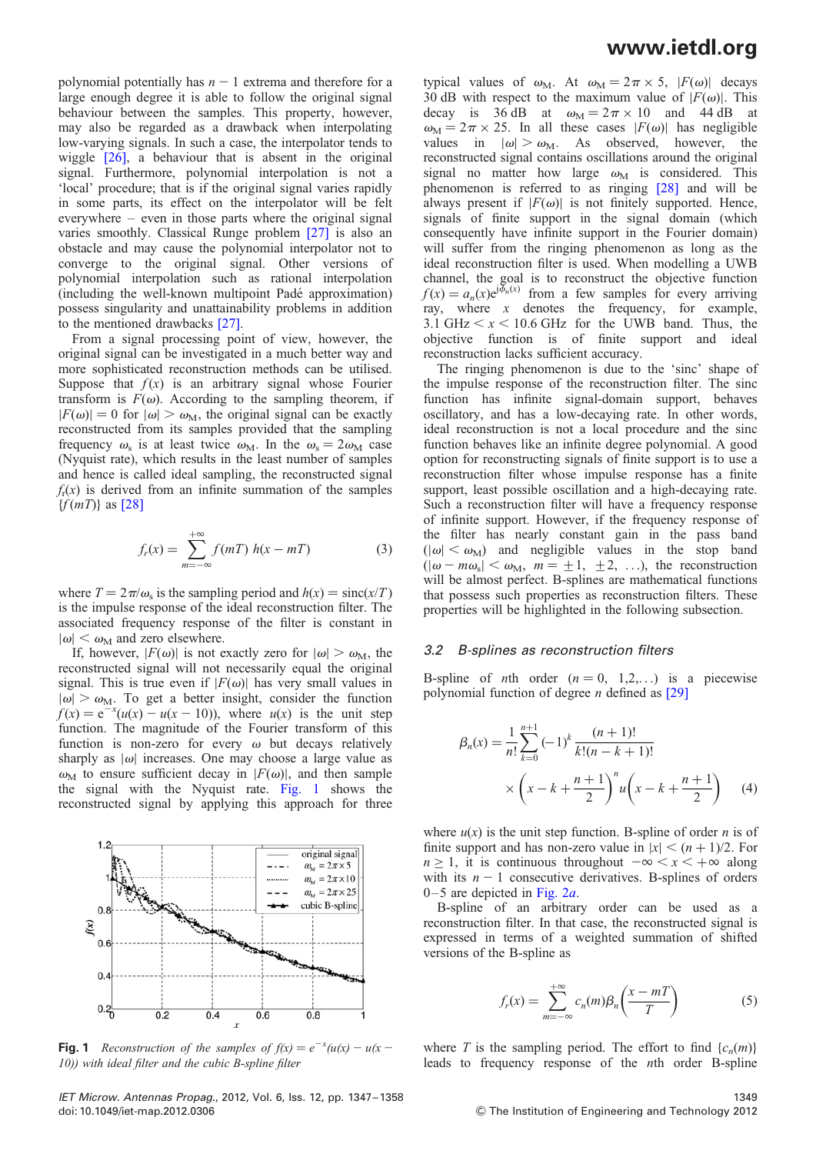polynomial potentially has  $n - 1$  extrema and therefore for a large enough degree it is able to follow the original signal behaviour between the samples. This property, however, may also be regarded as a drawback when interpolating low-varying signals. In such a case, the interpolator tends to wiggle [26], a behaviour that is absent in the original signal. Furthermore, polynomial interpolation is not a 'local' procedure; that is if the original signal varies rapidly in some parts, its effect on the interpolator will be felt everywhere – even in those parts where the original signal varies smoothly. Classical Runge problem [27] is also an obstacle and may cause the polynomial interpolator not to converge to the original signal. Other versions of polynomial interpolation such as rational interpolation (including the well-known multipoint Pade´ approximation) possess singularity and unattainability problems in addition to the mentioned drawbacks [27].

From a signal processing point of view, however, the original signal can be investigated in a much better way and more sophisticated reconstruction methods can be utilised. Suppose that  $f(x)$  is an arbitrary signal whose Fourier transform is  $F(\omega)$ . According to the sampling theorem, if  $|F(\omega)| = 0$  for  $|\omega| > \omega_M$ , the original signal can be exactly reconstructed from its samples provided that the sampling frequency  $\omega_s$  is at least twice  $\omega_M$ . In the  $\omega_s = 2\omega_M$  case (Nyquist rate), which results in the least number of samples and hence is called ideal sampling, the reconstructed signal  $f<sub>r</sub>(x)$  is derived from an infinite summation of the samples  ${f(mT)}$  as [28]

$$
f_r(x) = \sum_{m = -\infty}^{+\infty} f(mT) h(x - mT)
$$
 (3)

where  $T = 2\pi/\omega_s$  is the sampling period and  $h(x) = \text{sinc}(x/T)$ is the impulse response of the ideal reconstruction filter. The associated frequency response of the filter is constant in  $|\omega| < \omega_M$  and zero elsewhere.

If, however,  $|F(\omega)|$  is not exactly zero for  $|\omega| > \omega_M$ , the reconstructed signal will not necessarily equal the original signal. This is true even if  $|F(\omega)|$  has very small values in  $|\omega| > \omega_M$ . To get a better insight, consider the function  $f(x) = e^{-x}(u(x) - u(x - 10))$ , where  $u(x)$  is the unit step function. The magnitude of the Fourier transform of this function is non-zero for every  $\omega$  but decays relatively sharply as  $|\omega|$  increases. One may choose a large value as  $\omega_M$  to ensure sufficient decay in  $|F(\omega)|$ , and then sample the signal with the Nyquist rate. Fig. 1 shows the reconstructed signal by applying this approach for three



**Fig. 1** Reconstruction of the samples of  $f(x) = e^{-x}(u(x) - u(x -$ 10)) with ideal filter and the cubic B-spline filter

IET Microw. Antennas Propag., 2012, Vol. 6, Iss. 12, pp. 1347–1358 1349 1349 doi: 10.1049/iet-map.2012.0306 & The Institution of Engineering and Technology 2012

typical values of  $\omega_M$ . At  $\omega_M = 2\pi \times 5$ ,  $|F(\omega)|$  decays 30 dB with respect to the maximum value of  $|F(\omega)|$ . This decay is  $36 \text{ dB}$  at  $\omega_M = 2\pi \times 10$  and 44 dB at  $\omega_M = 2\pi \times 25$ . In all these cases  $|F(\omega)|$  has negligible values in  $|\omega| > \omega_M$ . As observed, however, the reconstructed signal contains oscillations around the original signal no matter how large  $\omega_M$  is considered. This phenomenon is referred to as ringing [28] and will be always present if  $|F(\omega)|$  is not finitely supported. Hence, signals of finite support in the signal domain (which consequently have infinite support in the Fourier domain) will suffer from the ringing phenomenon as long as the ideal reconstruction filter is used. When modelling a UWB channel, the goal is to reconstruct the objective function  $f(x) = a_n(x)e^{j\phi_n(x)}$  from a few samples for every arriving ray, where  $x$  denotes the frequency, for example, 3.1 GHz  $\lt x \lt 10.6$  GHz for the UWB band. Thus, the objective function is of finite support and ideal reconstruction lacks sufficient accuracy.

The ringing phenomenon is due to the 'sinc' shape of the impulse response of the reconstruction filter. The sinc function has infinite signal-domain support, behaves oscillatory, and has a low-decaying rate. In other words, ideal reconstruction is not a local procedure and the sinc function behaves like an infinite degree polynomial. A good option for reconstructing signals of finite support is to use a reconstruction filter whose impulse response has a finite support, least possible oscillation and a high-decaying rate. Such a reconstruction filter will have a frequency response of infinite support. However, if the frequency response of the filter has nearly constant gain in the pass band  $(|\omega| \leq \omega_M)$  and negligible values in the stop band  $(|\omega - m\omega_{\rm s}| \leq \omega_{\rm M}$ ,  $m = +1, +2, \ldots)$ , the reconstruction will be almost perfect. B-splines are mathematical functions that possess such properties as reconstruction filters. These properties will be highlighted in the following subsection.

#### 3.2 B-splines as reconstruction filters

B-spline of *n*th order  $(n = 0, 1, 2, ...)$  is a piecewise polynomial function of degree *n* defined as  $[29]$ 

$$
\beta_n(x) = \frac{1}{n!} \sum_{k=0}^{n+1} (-1)^k \frac{(n+1)!}{k!(n-k+1)!}
$$
  
 
$$
\times \left(x - k + \frac{n+1}{2}\right)^n u\left(x - k + \frac{n+1}{2}\right) \tag{4}
$$

where  $u(x)$  is the unit step function. B-spline of order *n* is of finite support and has non-zero value in  $|x| \leq (n + 1)/2$ . For  $n \geq 1$ , it is continuous throughout  $-\infty < x < +\infty$  along with its  $n - 1$  consecutive derivatives. B-splines of orders  $0-5$  are depicted in Fig. 2a.

B-spline of an arbitrary order can be used as a reconstruction filter. In that case, the reconstructed signal is expressed in terms of a weighted summation of shifted versions of the B-spline as

$$
f_r(x) = \sum_{m = -\infty}^{+\infty} c_n(m) \beta_n \left(\frac{x - mT}{T}\right)
$$
 (5)

where T is the sampling period. The effort to find  $\{c_n(m)\}\$ leads to frequency response of the nth order B-spline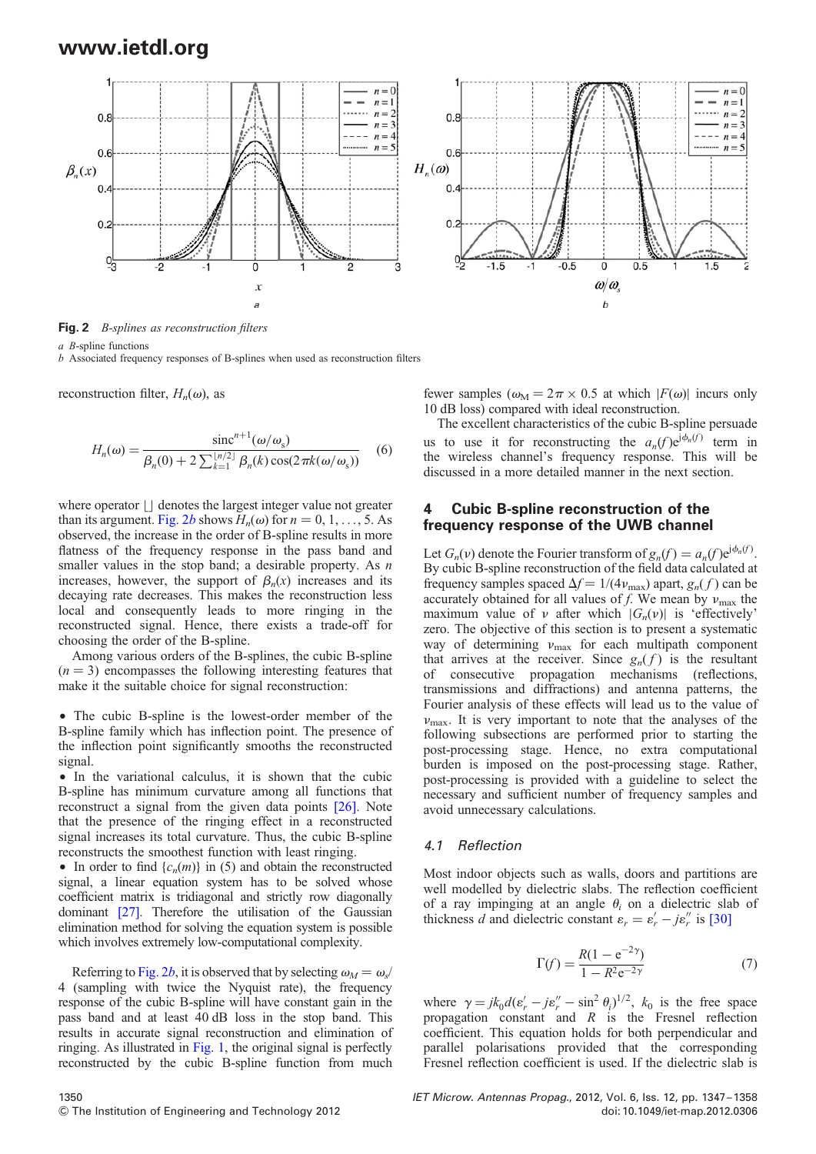

Fig. 2 B-splines as reconstruction filters a B-spline functions

b Associated frequency responses of B-splines when used as reconstruction filters

reconstruction filter,  $H_n(\omega)$ , as

$$
H_n(\omega) = \frac{\text{sinc}^{n+1}(\omega/\omega_s)}{\beta_n(0) + 2\sum_{k=1}^{\lfloor n/2 \rfloor} \beta_n(k)\cos(2\pi k(\omega/\omega_s))}
$$
(6)

where operator  $|| \cdot ||$  denotes the largest integer value not greater than its argument. Fig. 2b shows  $H_n(\omega)$  for  $n = 0, 1, ..., 5$ . As observed, the increase in the order of B-spline results in more flatness of the frequency response in the pass band and smaller values in the stop band; a desirable property. As  $n$ increases, however, the support of  $\beta_n(x)$  increases and its decaying rate decreases. This makes the reconstruction less local and consequently leads to more ringing in the reconstructed signal. Hence, there exists a trade-off for choosing the order of the B-spline.

Among various orders of the B-splines, the cubic B-spline  $(n = 3)$  encompasses the following interesting features that make it the suitable choice for signal reconstruction:

• The cubic B-spline is the lowest-order member of the B-spline family which has inflection point. The presence of the inflection point significantly smooths the reconstructed signal.

• In the variational calculus, it is shown that the cubic B-spline has minimum curvature among all functions that reconstruct a signal from the given data points [26]. Note that the presence of the ringing effect in a reconstructed signal increases its total curvature. Thus, the cubic B-spline reconstructs the smoothest function with least ringing.

• In order to find  ${c_n(m)}$  in (5) and obtain the reconstructed signal, a linear equation system has to be solved whose coefficient matrix is tridiagonal and strictly row diagonally dominant [27]. Therefore the utilisation of the Gaussian elimination method for solving the equation system is possible which involves extremely low-computational complexity.

Referring to Fig. 2b, it is observed that by selecting  $\omega_M = \omega$ . 4 (sampling with twice the Nyquist rate), the frequency response of the cubic B-spline will have constant gain in the pass band and at least 40 dB loss in the stop band. This results in accurate signal reconstruction and elimination of ringing. As illustrated in Fig. 1, the original signal is perfectly reconstructed by the cubic B-spline function from much

fewer samples ( $\omega_M = 2\pi \times 0.5$  at which  $|F(\omega)|$  incurs only 10 dB loss) compared with ideal reconstruction.

The excellent characteristics of the cubic B-spline persuade us to use it for reconstructing the  $a_n(f)e^{i\phi_n(f)}$  term in the wireless channel's frequency response. This will be discussed in a more detailed manner in the next section.

## 4 Cubic B-spline reconstruction of the frequency response of the UWB channel

Let  $G_n(v)$  denote the Fourier transform of  $g_n(f) = a_n(f) e^{j\phi_n(f)}$ . By cubic B-spline reconstruction of the field data calculated at frequency samples spaced  $\Delta f = 1/(4v_{\text{max}})$  apart,  $g_n(f)$  can be accurately obtained for all values of f. We mean by  $v_{\text{max}}$  the maximum value of v after which  $|G_n(v)|$  is 'effectively' zero. The objective of this section is to present a systematic way of determining  $v_{\text{max}}$  for each multipath component that arrives at the receiver. Since  $g_n(f)$  is the resultant of consecutive propagation mechanisms (reflections, transmissions and diffractions) and antenna patterns, the Fourier analysis of these effects will lead us to the value of  $v_{\text{max}}$ . It is very important to note that the analyses of the following subsections are performed prior to starting the post-processing stage. Hence, no extra computational burden is imposed on the post-processing stage. Rather, post-processing is provided with a guideline to select the necessary and sufficient number of frequency samples and avoid unnecessary calculations.

## 4.1 Reflection

Most indoor objects such as walls, doors and partitions are well modelled by dielectric slabs. The reflection coefficient of a ray impinging at an angle  $\theta_i$  on a dielectric slab of thickness d and dielectric constant  $\varepsilon_r = \varepsilon'_r - j\varepsilon''_r$  is [30]

$$
\Gamma(f) = \frac{R(1 - e^{-2\gamma})}{1 - R^2 e^{-2\gamma}}
$$
\n(7)

where  $\gamma = jk_0 d(\epsilon'_r - j\epsilon''_r - \sin^2 \theta_i)^{1/2}$ ,  $k_0$  is the free space propagation constant and  $R$  is the Fresnel reflection coefficient. This equation holds for both perpendicular and parallel polarisations provided that the corresponding Fresnel reflection coefficient is used. If the dielectric slab is

1350 IET Microw. Antennas Propag., 2012, Vol. 6, Iss. 12, pp. 1347–1358 & The Institution of Engineering and Technology 2012 doi: 10.1049/iet-map.2012.0306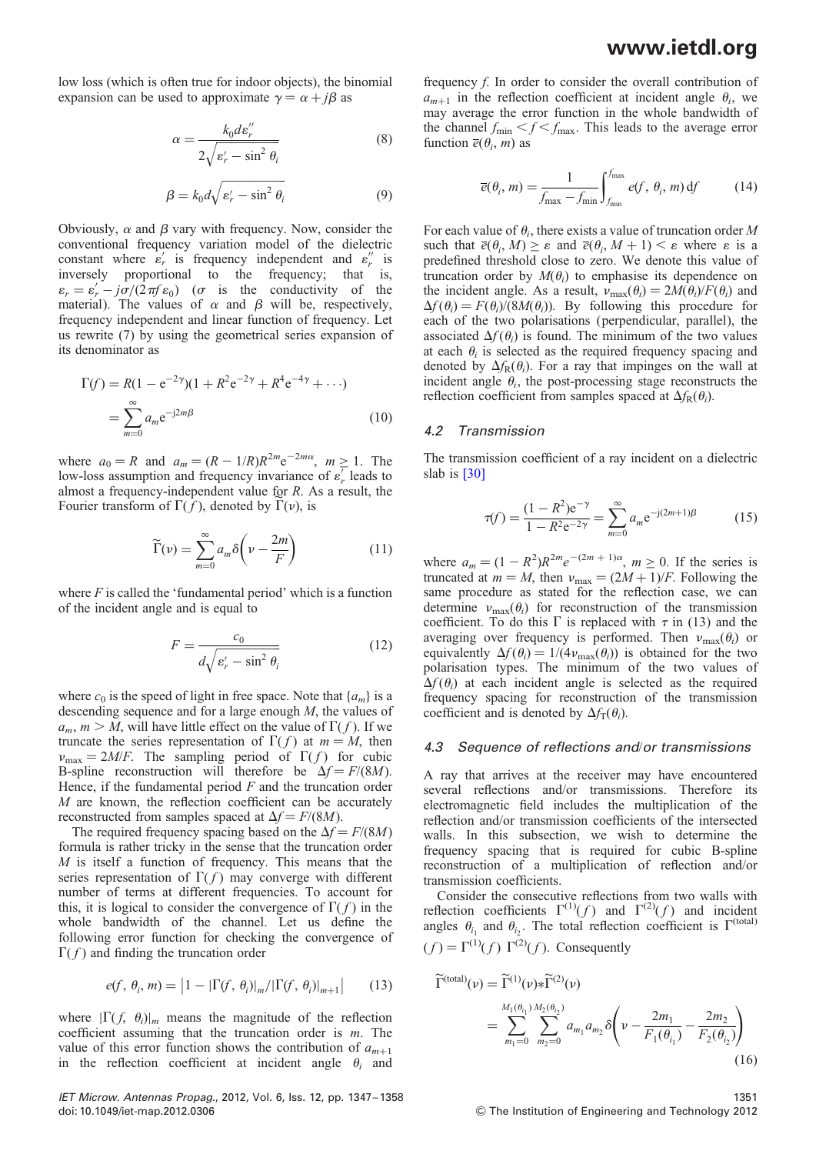low loss (which is often true for indoor objects), the binomial expansion can be used to approximate  $\gamma = \alpha + j\beta$  as

$$
\alpha = \frac{k_0 d \varepsilon_r^{\prime\prime}}{2\sqrt{\varepsilon_r^{\prime} - \sin^2 \theta_i}}\tag{8}
$$

$$
\beta = k_0 d \sqrt{\varepsilon_r' - \sin^2 \theta_i} \tag{9}
$$

Obviously,  $\alpha$  and  $\beta$  vary with frequency. Now, consider the conventional frequency variation model of the dielectric constant where  $\mathbf{e}'_r$  is frequency independent and  $\mathbf{e}''_r$  is inversely proportional to the frequency; that is,  $\varepsilon_r = \varepsilon'_r - j\sigma/(2\pi f \varepsilon_0)$  ( $\sigma$  is the conductivity of the material). The values of  $\alpha$  and  $\beta$  will be, respectively, frequency independent and linear function of frequency. Let us rewrite (7) by using the geometrical series expansion of its denominator as

$$
\Gamma(f) = R(1 - e^{-2\gamma})(1 + R^2 e^{-2\gamma} + R^4 e^{-4\gamma} + \cdots)
$$
  
= 
$$
\sum_{m=0}^{\infty} a_m e^{-j2m\beta}
$$
 (10)

where  $a_0 = R$  and  $a_m = (R - 1/R)R^{2m}e^{-2m\alpha}$ ,  $m \ge 1$ . The low-loss assumption and frequency invariance of  $\varepsilon_r^{\prime}$  leads to almost a frequency-independent value for R. As a result, the Fourier transform of  $\Gamma(f)$ , denoted by  $\Gamma(\nu)$ , is

$$
\widetilde{\Gamma}(\nu) = \sum_{m=0}^{\infty} a_m \delta\left(\nu - \frac{2m}{F}\right)
$$
\n(11)

where  $F$  is called the 'fundamental period' which is a function of the incident angle and is equal to

$$
F = \frac{c_0}{d\sqrt{\varepsilon_r' - \sin^2\theta_i}}\tag{12}
$$

where  $c_0$  is the speed of light in free space. Note that  $\{a_m\}$  is a descending sequence and for a large enough M, the values of  $a_m$ ,  $m > M$ , will have little effect on the value of  $\Gamma(f)$ . If we truncate the series representation of  $\Gamma(f)$  at  $m = M$ , then  $\nu_{\text{max}} = 2M/F$ . The sampling period of  $\Gamma(f)$  for cubic B-spline reconstruction will therefore be  $\Delta f = F/(8M)$ . Hence, if the fundamental period  $F$  and the truncation order M are known, the reflection coefficient can be accurately reconstructed from samples spaced at  $\Delta f = F/(8M)$ .

The required frequency spacing based on the  $\Delta f = F/(8M)$ formula is rather tricky in the sense that the truncation order  $M$  is itself a function of frequency. This means that the series representation of  $\Gamma(f)$  may converge with different number of terms at different frequencies. To account for this, it is logical to consider the convergence of  $\Gamma(f)$  in the whole bandwidth of the channel. Let us define the following error function for checking the convergence of  $\Gamma(f)$  and finding the truncation order

$$
e(f, \theta_i, m) = \left|1 - |\Gamma(f, \theta_i)|_m / |\Gamma(f, \theta_i)|_{m+1}\right| \qquad (13)
$$

where  $|\Gamma(f, \theta_i)|_m$  means the magnitude of the reflection coefficient assuming that the truncation order is m. The value of this error function shows the contribution of  $a_{m+1}$ in the reflection coefficient at incident angle  $\theta_i$  and

IET Microw. Antennas Propag., 2012, Vol. 6, Iss. 12, pp. 1347–1358 1351 doi: 10.1049/iet-map.2012.0306 & The Institution of Engineering and Technology 2012

frequency f. In order to consider the overall contribution of  $a_{m+1}$  in the reflection coefficient at incident angle  $\theta_i$ , we may average the error function in the whole bandwidth of the channel  $f_{\min} < f < f_{\max}$ . This leads to the average error function  $\overline{e}(\theta_i, m)$  as

$$
\overline{e}(\theta_i, m) = \frac{1}{f_{\text{max}} - f_{\text{min}}} \int_{f_{\text{min}}}^{f_{\text{max}}} e(f, \theta_i, m) \, df \qquad (14)
$$

For each value of  $\theta_i$ , there exists a value of truncation order M such that  $\overline{e}(\theta_i, M) \ge \varepsilon$  and  $\overline{e}(\theta_i, M + 1) \le \varepsilon$  where  $\varepsilon$  is a predefined threshold close to zero. We denote this value of truncation order by  $M(\theta_i)$  to emphasise its dependence on the incident angle. As a result,  $v_{\text{max}}(\theta_i) = 2M(\theta_i)/F(\theta_i)$  and  $\Delta f(\theta_i) = F(\theta_i)/(8M(\theta_i))$ . By following this procedure for each of the two polarisations (perpendicular, parallel), the associated  $\Delta f(\theta_i)$  is found. The minimum of the two values at each  $\theta_i$  is selected as the required frequency spacing and denoted by  $\Delta f_R(\theta_i)$ . For a ray that impinges on the wall at incident angle  $\theta_i$ , the post-processing stage reconstructs the reflection coefficient from samples spaced at  $\Delta f_R(\theta_i)$ .

#### 4.2 Transmission

The transmission coefficient of a ray incident on a dielectric slab is [30]

$$
\tau(f) = \frac{(1 - R^2)e^{-\gamma}}{1 - R^2e^{-2\gamma}} = \sum_{m=0}^{\infty} a_m e^{-j(2m+1)\beta}
$$
(15)

where  $a_m = (1 - R^2)R^{2m}e^{-(2m+1)\alpha}$ ,  $m \ge 0$ . If the series is truncated at  $m = M$ , then  $v_{\text{max}} = (2M + 1)/F$ . Following the same procedure as stated for the reflection case, we can determine  $v_{\text{max}}(\theta_i)$  for reconstruction of the transmission coefficient. To do this  $\Gamma$  is replaced with  $\tau$  in (13) and the averaging over frequency is performed. Then  $v_{\text{max}}(\theta_i)$  or equivalently  $\Delta f(\theta_i) = 1/(4v_{\text{max}}(\theta_i))$  is obtained for the two polarisation types. The minimum of the two values of  $\Delta f(\theta_i)$  at each incident angle is selected as the required frequency spacing for reconstruction of the transmission coefficient and is denoted by  $\Delta f_{\rm T}(\theta_i)$ .

#### 4.3 Sequence of reflections and/or transmissions

A ray that arrives at the receiver may have encountered several reflections and/or transmissions. Therefore its electromagnetic field includes the multiplication of the reflection and/or transmission coefficients of the intersected walls. In this subsection, we wish to determine the frequency spacing that is required for cubic B-spline reconstruction of a multiplication of reflection and/or transmission coefficients.

Consider the consecutive reflections from two walls with reflection coefficients  $\Gamma^{(1)}(f)$  and  $\Gamma^{(2)}(f)$  and incident angles  $\theta_{i_1}$  and  $\theta_{i_2}$ . The total reflection coefficient is  $\Gamma^{\text{(total)}}$  $(f) = \Gamma^{(1)}(f) \Gamma^{(2)}(f)$ . Consequently

$$
\widetilde{\Gamma}^{(\text{total})}(\nu) = \widetilde{\Gamma}^{(1)}(\nu) * \widetilde{\Gamma}^{(2)}(\nu)
$$
\n
$$
= \sum_{m_1=0}^{M_1(\theta_{i_1})} \sum_{m_2=0}^{M_2(\theta_{i_2})} a_{m_1} a_{m_2} \delta\left(\nu - \frac{2m_1}{F_1(\theta_{i_1})} - \frac{2m_2}{F_2(\theta_{i_2})}\right)
$$
\n(16)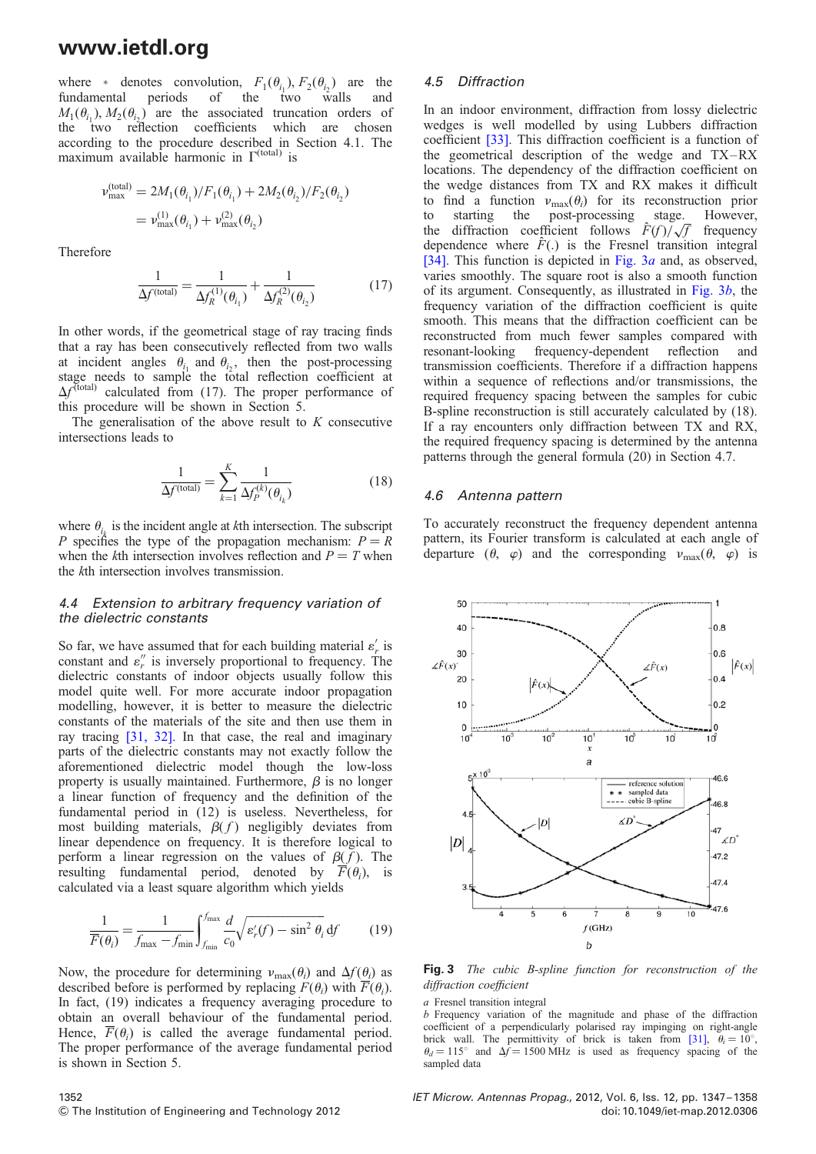where \* denotes convolution,  $F_1(\theta_{i_1}), F_2(\theta_{i_2})$  are the fundamental periods of the two walls and  $M_1(\theta_{i_1}), M_2(\theta_{i_2})$  are the associated truncation orders of the two reflection coefficients which are chosen according to the procedure described in Section 4.1. The maximum available harmonic in  $\Gamma^{(\rm total)}$  is

$$
\nu_{\text{max}}^{(\text{total})} = 2M_1(\theta_{i_1})/F_1(\theta_{i_1}) + 2M_2(\theta_{i_2})/F_2(\theta_{i_2})
$$

$$
= \nu_{\text{max}}^{(1)}(\theta_{i_1}) + \nu_{\text{max}}^{(2)}(\theta_{i_2})
$$

Therefore

$$
\frac{1}{\Delta f^{(\text{total})}} = \frac{1}{\Delta f_R^{(1)}(\theta_{i_1})} + \frac{1}{\Delta f_R^{(2)}(\theta_{i_2})}
$$
(17)

In other words, if the geometrical stage of ray tracing finds that a ray has been consecutively reflected from two walls at incident angles  $\theta_{i_1}$  and  $\theta_{i_2}$ , then the post-processing stage needs to sample the total reflection coefficient at  $\Delta f^{\text{(total)}}$  calculated from (17). The proper performance of this procedure will be shown in Section 5.

The generalisation of the above result to  $K$  consecutive intersections leads to

$$
\frac{1}{\Delta f^{(\text{total})}} = \sum_{k=1}^{K} \frac{1}{\Delta f_P^{(k)}(\theta_{i_k})}
$$
(18)

where  $\theta_{i_k}$  is the incident angle at kth intersection. The subscript P specifies the type of the propagation mechanism:  $P = R$ when the kth intersection involves reflection and  $P = T$  when the kth intersection involves transmission.

#### 4.4 Extension to arbitrary frequency variation of the dielectric constants

So far, we have assumed that for each building material  $\varepsilon'_{r}$  is constant and  $\varepsilon_{r}''$  is inversely proportional to frequency. The dielectric constants of indoor objects usually follow this model quite well. For more accurate indoor propagation modelling, however, it is better to measure the dielectric constants of the materials of the site and then use them in ray tracing [31, 32]. In that case, the real and imaginary parts of the dielectric constants may not exactly follow the aforementioned dielectric model though the low-loss property is usually maintained. Furthermore,  $\beta$  is no longer a linear function of frequency and the definition of the fundamental period in (12) is useless. Nevertheless, for most building materials,  $\beta(f)$  negligibly deviates from linear dependence on frequency. It is therefore logical to perform a linear regression on the values of  $\beta(f)$ . The resulting fundamental period, denoted by  $\overline{F}(\theta_i)$ , is calculated via a least square algorithm which yields

$$
\frac{1}{\overline{F}(\theta_i)} = \frac{1}{f_{\text{max}} - f_{\text{min}}} \int_{f_{\text{min}}}^{f_{\text{max}}} \frac{d}{c_0} \sqrt{\varepsilon_r'(f) - \sin^2 \theta_i} \, df \tag{19}
$$

Now, the procedure for determining  $v_{\text{max}}(\theta_i)$  and  $\Delta f(\theta_i)$  as described before is performed by replacing  $F(\theta_i)$  with  $F(\theta_i)$ . In fact, (19) indicates a frequency averaging procedure to obtain an overall behaviour of the fundamental period. Hence,  $F(\theta_i)$  is called the average fundamental period. The proper performance of the average fundamental period is shown in Section 5.

## 4.5 Diffraction

In an indoor environment, diffraction from lossy dielectric wedges is well modelled by using Lubbers diffraction coefficient [33]. This diffraction coefficient is a function of the geometrical description of the wedge and TX –RX locations. The dependency of the diffraction coefficient on the wedge distances from TX and RX makes it difficult to find a function  $v_{\text{max}}(\theta_i)$  for its reconstruction prior to starting the post-processing stage. However, to starting the post-processing stage. However,<br>the diffraction coefficient follows  $\hat{F}(f)/\sqrt{f}$  frequency dependence where  $\hat{F}$ . is the Fresnel transition integral [34]. This function is depicted in Fig.  $3a$  and, as observed, varies smoothly. The square root is also a smooth function of its argument. Consequently, as illustrated in Fig. 3b, the frequency variation of the diffraction coefficient is quite smooth. This means that the diffraction coefficient can be reconstructed from much fewer samples compared with resonant-looking frequency-dependent reflection and transmission coefficients. Therefore if a diffraction happens within a sequence of reflections and/or transmissions, the required frequency spacing between the samples for cubic B-spline reconstruction is still accurately calculated by (18). If a ray encounters only diffraction between TX and RX, the required frequency spacing is determined by the antenna patterns through the general formula (20) in Section 4.7.

#### 4.6 Antenna pattern

To accurately reconstruct the frequency dependent antenna pattern, its Fourier transform is calculated at each angle of departure  $(\theta, \varphi)$  and the corresponding  $v_{\text{max}}(\theta, \varphi)$  is



Fig. 3 The cubic B-spline function for reconstruction of the diffraction coefficient

a Fresnel transition integral

1352 IET Microw. Antennas Propag., 2012, Vol. 6, Iss. 12, pp. 1347–1358 & The Institution of Engineering and Technology 2012 doi: 10.1049/iet-map.2012.0306

b Frequency variation of the magnitude and phase of the diffraction coefficient of a perpendicularly polarised ray impinging on right-angle brick wall. The permittivity of brick is taken from [31],  $\theta_i = 10^\circ$ ,  $\theta_d = 115^\circ$  and  $\Delta \hat{f} = 1500 \text{ MHz}$  is used as frequency spacing of the sampled data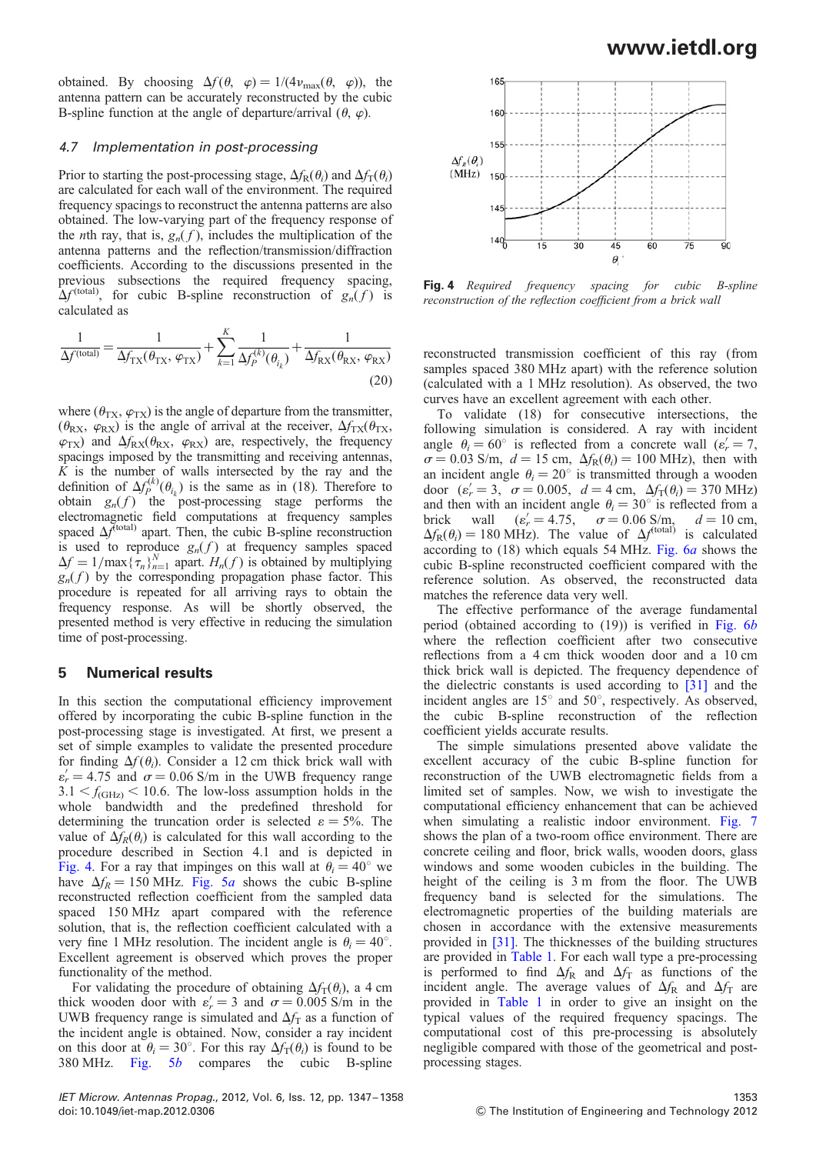obtained. By choosing  $\Delta f(\theta, \varphi) = 1/(4v_{\text{max}}(\theta, \varphi))$ , the antenna pattern can be accurately reconstructed by the cubic B-spline function at the angle of departure/arrival  $(\theta, \varphi)$ .

#### 4.7 Implementation in post-processing

Prior to starting the post-processing stage,  $\Delta f_R(\theta_i)$  and  $\Delta f_T(\theta_i)$ are calculated for each wall of the environment. The required frequency spacings to reconstruct the antenna patterns are also obtained. The low-varying part of the frequency response of the *n*th ray, that is,  $g_n(f)$ , includes the multiplication of the antenna patterns and the reflection/transmission/diffraction coefficients. According to the discussions presented in the previous subsections the required frequency spacing,  $\Delta f^{(\text{total})}$ , for cubic B-spline reconstruction of  $g_n(f)$  is calculated as

$$
\frac{1}{\Delta f^{(\text{total})}} = \frac{1}{\Delta f_{\text{TX}}(\theta_{\text{TX}}, \varphi_{\text{TX}})} + \sum_{k=1}^{K} \frac{1}{\Delta f_P^{(k)}(\theta_{i_k})} + \frac{1}{\Delta f_{\text{RX}}(\theta_{\text{RX}}, \varphi_{\text{RX}})}
$$
(20)

where ( $\theta_{TX}$ ,  $\varphi_{TX}$ ) is the angle of departure from the transmitter,  $(\theta_{RX}, \varphi_{RX})$  is the angle of arrival at the receiver,  $\Delta f_{TX}(\theta_{TX},$  $\varphi$ <sub>TX</sub>) and  $\Delta f_{\rm RX}(\theta_{\rm RX}, \varphi_{\rm RX})$  are, respectively, the frequency spacings imposed by the transmitting and receiving antennas,  $K$  is the number of walls intersected by the ray and the definition of  $\Delta f_P^{(k)}(\theta_{i_k})$  is the same as in (18). Therefore to obtain  $g_n(f)$  the post-processing stage performs the electromagnetic field computations at frequency samples spaced  $\Delta f^{\text{total}}$  apart. Then, the cubic B-spline reconstruction is used to reproduce  $g_n(f)$  at frequency samples spaced  $\Delta f = 1/\max{\lbrace \tau_n \rbrace}_{n=1}^N$  apart.  $H_n(f)$  is obtained by multiplying  $g_n(f)$  by the corresponding propagation phase factor. This procedure is repeated for all arriving rays to obtain the frequency response. As will be shortly observed, the presented method is very effective in reducing the simulation time of post-processing.

#### 5 Numerical results

In this section the computational efficiency improvement offered by incorporating the cubic B-spline function in the post-processing stage is investigated. At first, we present a set of simple examples to validate the presented procedure for finding  $\Delta f(\theta_i)$ . Consider a 12 cm thick brick wall with  $\varepsilon'_{r} = 4.75$  and  $\sigma = 0.06$  S/m in the UWB frequency range  $3.1 < f<sub>(GHz)</sub> < 10.6$ . The low-loss assumption holds in the whole bandwidth and the predefined threshold for determining the truncation order is selected  $\epsilon = 5%$ . The value of  $\Delta f_R(\theta_i)$  is calculated for this wall according to the procedure described in Section 4.1 and is depicted in Fig. 4. For a ray that impinges on this wall at  $\theta_i = 40^\circ$  we have  $\Delta f_R = 150 \text{ MHz}$ . Fig. 5a shows the cubic B-spline reconstructed reflection coefficient from the sampled data spaced 150 MHz apart compared with the reference solution, that is, the reflection coefficient calculated with a very fine 1 MHz resolution. The incident angle is  $\theta_i = 40^\circ$ . Excellent agreement is observed which proves the proper functionality of the method.

For validating the procedure of obtaining  $\Delta f_{\rm T}(\theta_i)$ , a 4 cm thick wooden door with  $\varepsilon'_{r} = 3$  and  $\sigma = 0.005$  S/m in the UWB frequency range is simulated and  $\Delta f$ <sub>T</sub> as a function of the incident angle is obtained. Now, consider a ray incident on this door at  $\theta_i = 30^\circ$ . For this ray  $\Delta f_{\rm T}(\theta_i)$  is found to be 380 MHz. Fig. 5b compares the cubic B-spline



Fig. 4 Required frequency spacing for cubic B-spline reconstruction of the reflection coefficient from a brick wall

reconstructed transmission coefficient of this ray (from samples spaced 380 MHz apart) with the reference solution (calculated with a 1 MHz resolution). As observed, the two curves have an excellent agreement with each other.

To validate (18) for consecutive intersections, the following simulation is considered. A ray with incident angle  $\theta_i = 60^\circ$  is reflected from a concrete wall  $(\epsilon'_r = 7,$  $\sigma = 0.03$  S/m,  $d = 15$  cm,  $\Delta f_R(\theta_i) = 100$  MHz), then with an incident angle  $\theta_i = 20^\circ$  is transmitted through a wooden door  $(\epsilon'_r = 3, \sigma = 0.005, d = 4 \text{ cm}, \Delta f_T(\theta_i) = 370 \text{ MHz})$ and then with an incident angle  $\theta_i = 30^\circ$  is reflected from a<br>brick wall  $(\epsilon'_i = 4.75, \sigma = 0.06 \text{ S/m}, d = 10 \text{ cm})$ brick wall  $(\varepsilon'_r = 4.75, \sigma = 0.06 \text{ S/m}, d = 10 \text{ cm},$  $\Delta f_R(\theta_i) = 180 \text{ MHz}$ . The value of  $\Delta f^{\text{(total)}}$  is calculated according to  $(18)$  which equals 54 MHz. Fig. 6a shows the cubic B-spline reconstructed coefficient compared with the reference solution. As observed, the reconstructed data matches the reference data very well.

The effective performance of the average fundamental period (obtained according to (19)) is verified in Fig. 6b where the reflection coefficient after two consecutive reflections from a 4 cm thick wooden door and a 10 cm thick brick wall is depicted. The frequency dependence of the dielectric constants is used according to [31] and the incident angles are  $15^{\circ}$  and  $50^{\circ}$ , respectively. As observed, the cubic B-spline reconstruction of the reflection coefficient yields accurate results.

The simple simulations presented above validate the excellent accuracy of the cubic B-spline function for reconstruction of the UWB electromagnetic fields from a limited set of samples. Now, we wish to investigate the computational efficiency enhancement that can be achieved when simulating a realistic indoor environment. Fig. 7 shows the plan of a two-room office environment. There are concrete ceiling and floor, brick walls, wooden doors, glass windows and some wooden cubicles in the building. The height of the ceiling is 3 m from the floor. The UWB frequency band is selected for the simulations. The electromagnetic properties of the building materials are chosen in accordance with the extensive measurements provided in [31]. The thicknesses of the building structures are provided in Table 1. For each wall type a pre-processing is performed to find  $\Delta f_R$  and  $\Delta f_T$  as functions of the incident angle. The average values of  $\Delta f_R$  and  $\Delta f_T$  are provided in Table 1 in order to give an insight on the typical values of the required frequency spacings. The computational cost of this pre-processing is absolutely negligible compared with those of the geometrical and postprocessing stages.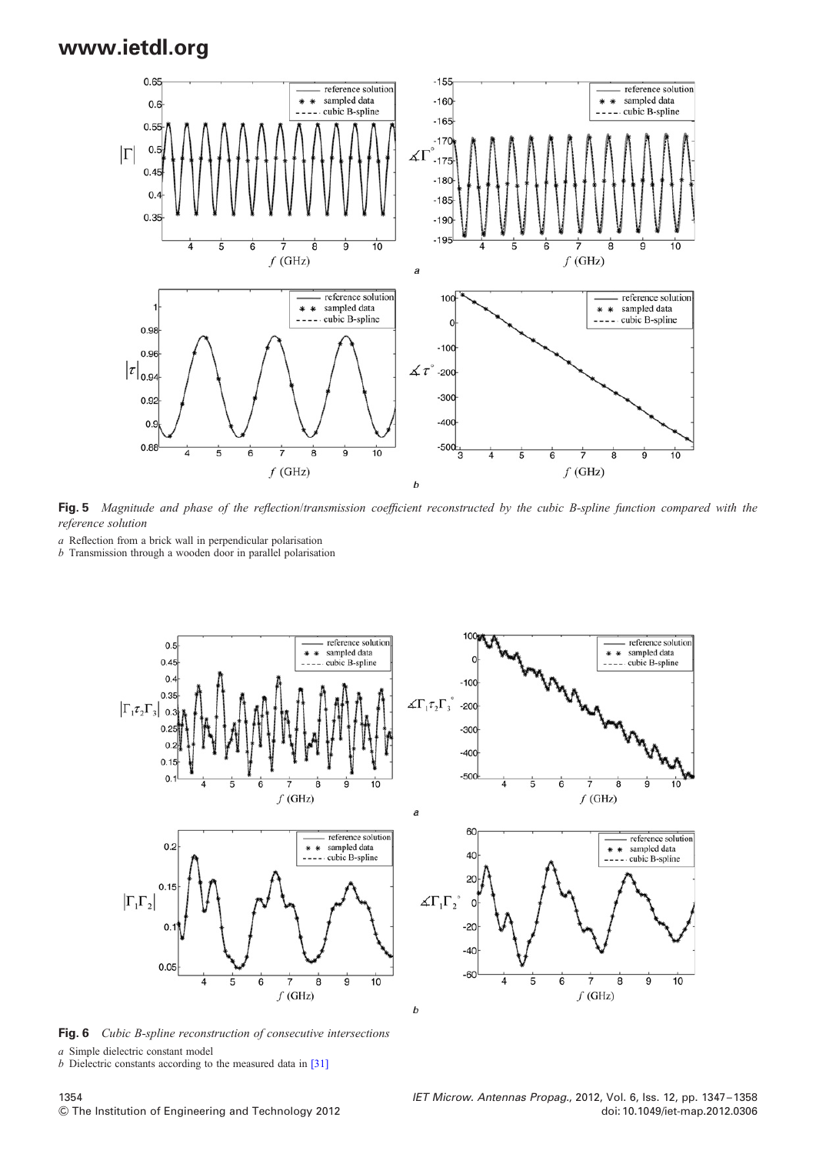

Fig. 5 Magnitude and phase of the reflection/transmission coefficient reconstructed by the cubic B-spline function compared with the reference solution

 $a$  Reflection from a brick wall in perpendicular polarisation

b Transmission through a wooden door in parallel polarisation



Fig. 6 Cubic B-spline reconstruction of consecutive intersections a Simple dielectric constant model

b Dielectric constants according to the measured data in [31]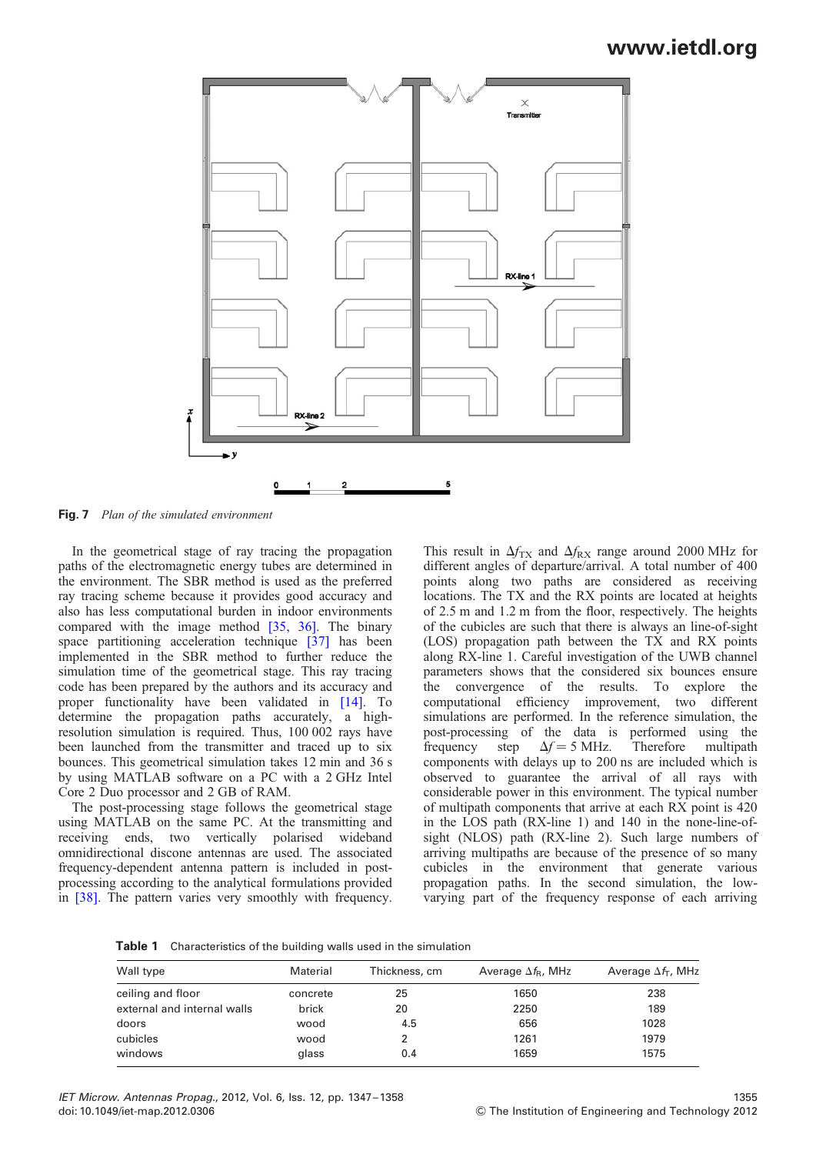

Fig. 7 Plan of the simulated environment

In the geometrical stage of ray tracing the propagation paths of the electromagnetic energy tubes are determined in the environment. The SBR method is used as the preferred ray tracing scheme because it provides good accuracy and also has less computational burden in indoor environments compared with the image method [35, 36]. The binary space partitioning acceleration technique [37] has been implemented in the SBR method to further reduce the simulation time of the geometrical stage. This ray tracing code has been prepared by the authors and its accuracy and proper functionality have been validated in [14]. To determine the propagation paths accurately, a highresolution simulation is required. Thus, 100 002 rays have been launched from the transmitter and traced up to six bounces. This geometrical simulation takes 12 min and 36 s by using MATLAB software on a PC with a 2 GHz Intel Core 2 Duo processor and 2 GB of RAM.

The post-processing stage follows the geometrical stage using MATLAB on the same PC. At the transmitting and receiving ends, two vertically polarised wideband omnidirectional discone antennas are used. The associated frequency-dependent antenna pattern is included in postprocessing according to the analytical formulations provided in [38]. The pattern varies very smoothly with frequency.

This result in  $\Delta f_{\text{TX}}$  and  $\Delta f_{\text{RX}}$  range around 2000 MHz for different angles of departure/arrival. A total number of 400 points along two paths are considered as receiving locations. The TX and the RX points are located at heights of 2.5 m and 1.2 m from the floor, respectively. The heights of the cubicles are such that there is always an line-of-sight (LOS) propagation path between the TX and RX points along RX-line 1. Careful investigation of the UWB channel parameters shows that the considered six bounces ensure the convergence of the results. To explore the computational efficiency improvement, two different simulations are performed. In the reference simulation, the post-processing of the data is performed using the frequency step  $\Delta f = 5$  MHz. Therefore multipath components with delays up to 200 ns are included which is observed to guarantee the arrival of all rays with considerable power in this environment. The typical number of multipath components that arrive at each RX point is 420 in the LOS path (RX-line 1) and 140 in the none-line-ofsight (NLOS) path (RX-line 2). Such large numbers of arriving multipaths are because of the presence of so many cubicles in the environment that generate various propagation paths. In the second simulation, the lowvarying part of the frequency response of each arriving

Table 1 Characteristics of the building walls used in the simulation

| Wall type                   | Material | Thickness, cm | Average $\Delta f_{\rm B}$ , MHz | Average $\Delta f$ <sub>T</sub> , MHz |
|-----------------------------|----------|---------------|----------------------------------|---------------------------------------|
| ceiling and floor           | concrete | 25            | 1650                             | 238                                   |
| external and internal walls | brick    | 20            | 2250                             | 189                                   |
| doors                       | wood     | 4.5           | 656                              | 1028                                  |
| cubicles                    | wood     |               | 1261                             | 1979                                  |
| windows                     | glass    | 0.4           | 1659                             | 1575                                  |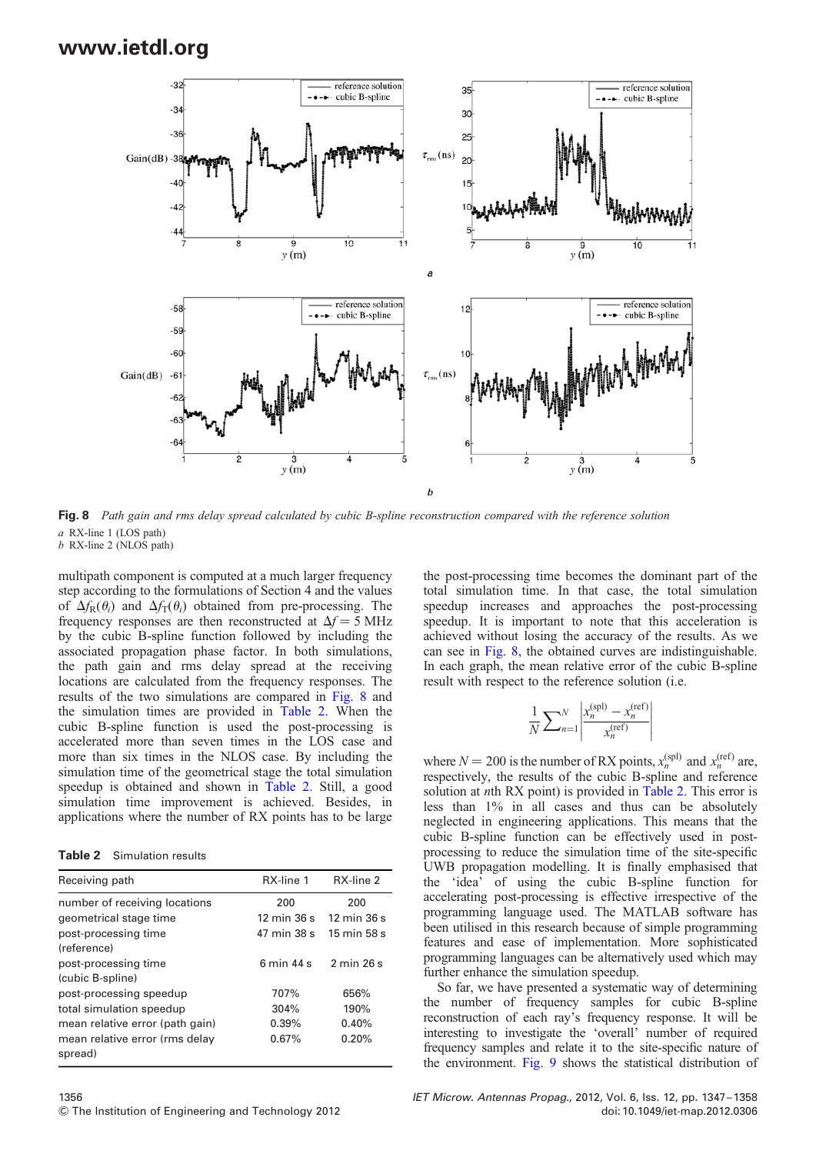

Fig. 8 Path gain and rms delay spread calculated by cubic B-spline reconstruction compared with the reference solution a RX-line 1 (LOS path)

b RX-line 2 (NLOS path)

multipath component is computed at a much larger frequency step according to the formulations of Section 4 and the values of  $\Delta f_R(\theta_i)$  and  $\Delta f_T(\theta_i)$  obtained from pre-processing. The frequency responses are then reconstructed at  $\Delta f = 5$  MHz by the cubic B-spline function followed by including the associated propagation phase factor. In both simulations, the path gain and rms delay spread at the receiving locations are calculated from the frequency responses. The results of the two simulations are compared in Fig. 8 and the simulation times are provided in Table 2. When the cubic B-spline function is used the post-processing is accelerated more than seven times in the LOS case and more than six times in the NLOS case. By including the simulation time of the geometrical stage the total simulation speedup is obtained and shown in Table 2. Still, a good simulation time improvement is achieved. Besides, in applications where the number of RX points has to be large

Table 2 Simulation results

| Receiving path                  | RX-line 1                    | RX-line 2                     |
|---------------------------------|------------------------------|-------------------------------|
| number of receiving locations   | 200                          | 200                           |
| geometrical stage time          | 12 min 36 s                  | 12 min 36 s                   |
| post-processing time            | 47 min 38 s                  | 15 min 58 s                   |
| (reference)                     |                              |                               |
| post-processing time            | $6 \text{ min} 44 \text{ s}$ | $2 \text{ min } 26 \text{ s}$ |
| (cubic B-spline)                |                              |                               |
| post-processing speedup         | 707%                         | 656%                          |
| total simulation speedup        | 304%                         | 190%                          |
| mean relative error (path gain) | 0.39%                        | 0.40%                         |
| mean relative error (rms delay  | 0.67%                        | 0.20%                         |
| spread)                         |                              |                               |

the post-processing time becomes the dominant part of the total simulation time. In that case, the total simulation speedup increases and approaches the post-processing speedup. It is important to note that this acceleration is achieved without losing the accuracy of the results. As we can see in Fig. 8, the obtained curves are indistinguishable. In each graph, the mean relative error of the cubic B-spline result with respect to the reference solution (i.e.

$$
\frac{1}{N} \sum\nolimits_{n=1}^{N} \left| \frac{x_n^{\text{(spl)}} - x_n^{\text{(ref)}}}{x_n^{\text{(ref)}}} \right|
$$

where  $N = 200$  is the number of RX points,  $x_n^{(\text{spl})}$  and  $x_n^{(\text{ref})}$  are, respectively, the results of the cubic B-spline and reference solution at *n*th RX point) is provided in Table 2. This error is less than 1% in all cases and thus can be absolutely neglected in engineering applications. This means that the cubic B-spline function can be effectively used in postprocessing to reduce the simulation time of the site-specific UWB propagation modelling. It is finally emphasised that the 'idea' of using the cubic B-spline function for accelerating post-processing is effective irrespective of the programming language used. The MATLAB software has been utilised in this research because of simple programming features and ease of implementation. More sophisticated programming languages can be alternatively used which may further enhance the simulation speedup.

So far, we have presented a systematic way of determining the number of frequency samples for cubic B-spline reconstruction of each ray's frequency response. It will be interesting to investigate the 'overall' number of required frequency samples and relate it to the site-specific nature of the environment. Fig. 9 shows the statistical distribution of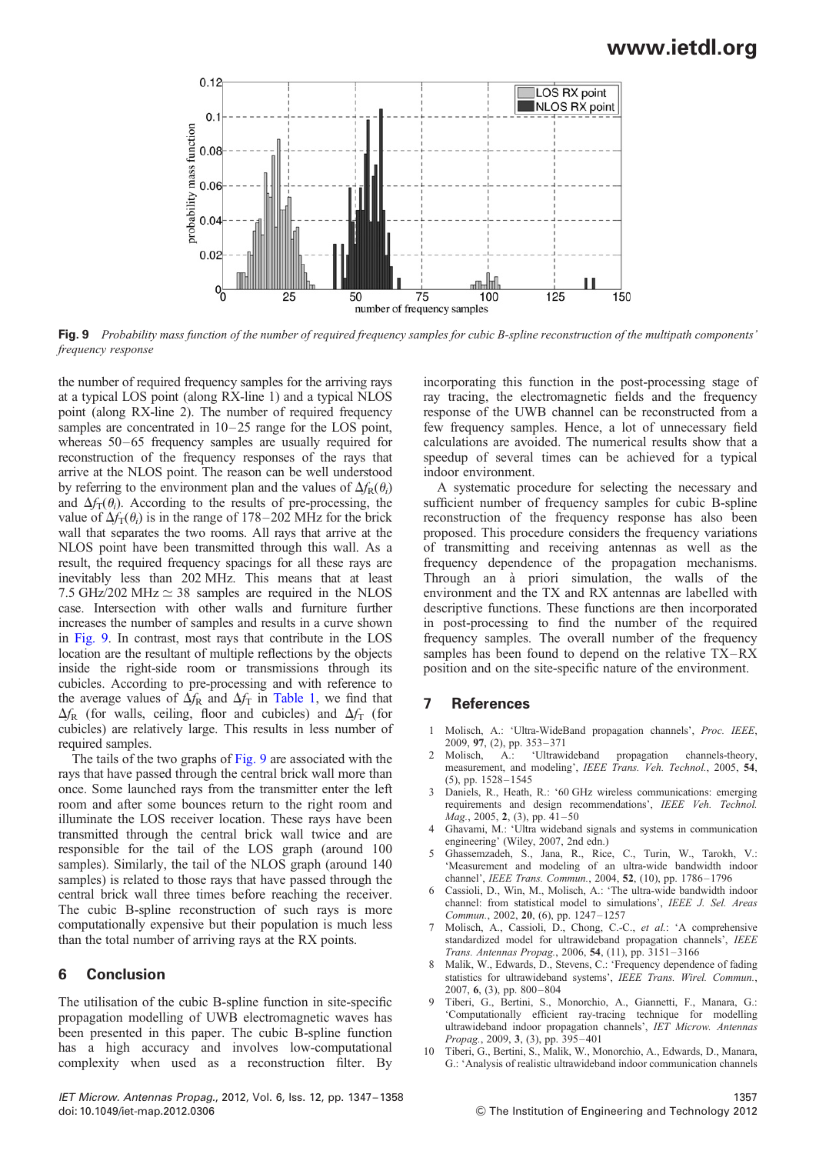

Fig. 9 Probability mass function of the number of required frequency samples for cubic B-spline reconstruction of the multipath components' frequency response

the number of required frequency samples for the arriving rays at a typical LOS point (along RX-line 1) and a typical NLOS point (along RX-line 2). The number of required frequency samples are concentrated in  $10-25$  range for the LOS point, whereas 50–65 frequency samples are usually required for reconstruction of the frequency responses of the rays that arrive at the NLOS point. The reason can be well understood by referring to the environment plan and the values of  $\Delta f_R(\theta_i)$ and  $\Delta f_{\rm T}(\theta_i)$ . According to the results of pre-processing, the value of  $\Delta f_{\rm T}(\theta_i)$  is in the range of 178–202 MHz for the brick wall that separates the two rooms. All rays that arrive at the NLOS point have been transmitted through this wall. As a result, the required frequency spacings for all these rays are inevitably less than 202 MHz. This means that at least 7.5 GHz/202 MHz  $\simeq$  38 samples are required in the NLOS case. Intersection with other walls and furniture further increases the number of samples and results in a curve shown in Fig. 9. In contrast, most rays that contribute in the LOS location are the resultant of multiple reflections by the objects inside the right-side room or transmissions through its cubicles. According to pre-processing and with reference to the average values of  $\Delta f_R$  and  $\Delta f_T$  in Table 1, we find that  $\Delta f_{\rm R}$  (for walls, ceiling, floor and cubicles) and  $\Delta f_{\rm T}$  (for cubicles) are relatively large. This results in less number of required samples.

The tails of the two graphs of Fig. 9 are associated with the rays that have passed through the central brick wall more than once. Some launched rays from the transmitter enter the left room and after some bounces return to the right room and illuminate the LOS receiver location. These rays have been transmitted through the central brick wall twice and are responsible for the tail of the LOS graph (around 100 samples). Similarly, the tail of the NLOS graph (around 140) samples) is related to those rays that have passed through the central brick wall three times before reaching the receiver. The cubic B-spline reconstruction of such rays is more computationally expensive but their population is much less than the total number of arriving rays at the RX points.

## 6 Conclusion

The utilisation of the cubic B-spline function in site-specific propagation modelling of UWB electromagnetic waves has been presented in this paper. The cubic B-spline function has a high accuracy and involves low-computational complexity when used as a reconstruction filter. By

IET Microw. Antennas Propag., 2012, Vol. 6, Iss. 12, pp. 1347–1358 1357 1357 1357 1357 doi: 10.1049/iet-map.2012.0306 & The Institution of Engineering and Technology 2012

incorporating this function in the post-processing stage of ray tracing, the electromagnetic fields and the frequency response of the UWB channel can be reconstructed from a few frequency samples. Hence, a lot of unnecessary field calculations are avoided. The numerical results show that a speedup of several times can be achieved for a typical indoor environment.

A systematic procedure for selecting the necessary and sufficient number of frequency samples for cubic B-spline reconstruction of the frequency response has also been proposed. This procedure considers the frequency variations of transmitting and receiving antennas as well as the frequency dependence of the propagation mechanisms. Through an à priori simulation, the walls of the environment and the TX and RX antennas are labelled with descriptive functions. These functions are then incorporated in post-processing to find the number of the required frequency samples. The overall number of the frequency samples has been found to depend on the relative TX-RX position and on the site-specific nature of the environment.

## 7 References

- 1 Molisch, A.: 'Ultra-WideBand propagation channels', Proc. IEEE, 2009, 97, (2), pp. 353–371<br>Molisch. A.: 'Ultrawideband
- 2 Molisch, A.: 'Ultrawideband propagation channels-theory, measurement, and modeling', IEEE Trans. Veh. Technol., 2005, 54, (5), pp. 1528– 1545
- Daniels, R., Heath, R.: '60 GHz wireless communications: emerging requirements and design recommendations', IEEE Veh. Technol.  $Mag., 2005, 2, (3), pp. 41-50$
- 4 Ghavami, M.: 'Ultra wideband signals and systems in communication engineering' (Wiley, 2007, 2nd edn.)
- 5 Ghassemzadeh, S., Jana, R., Rice, C., Turin, W., Tarokh, V.: 'Measurement and modeling of an ultra-wide bandwidth indoor channel', IEEE Trans. Commun., 2004, 52, (10), pp. 1786-1796
- 6 Cassioli, D., Win, M., Molisch, A.: 'The ultra-wide bandwidth indoor channel: from statistical model to simulations', IEEE J. Sel. Areas Commun., 2002, 20, (6), pp. 1247–1257
- Molisch, A., Cassioli, D., Chong, C.-C., et al.: 'A comprehensive standardized model for ultrawideband propagation channels', IEEE Trans. Antennas Propag., 2006, 54, (11), pp. 3151– 3166
- Malik, W., Edwards, D., Stevens, C.: 'Frequency dependence of fading statistics for ultrawideband systems', IEEE Trans. Wirel. Commun., 2007, 6, (3), pp. 800 –804
- 9 Tiberi, G., Bertini, S., Monorchio, A., Giannetti, F., Manara, G.: 'Computationally efficient ray-tracing technique for modelling ultrawideband indoor propagation channels', IET Microw. Antennas Propag., 2009, 3, (3), pp. 395–401
- 10 Tiberi, G., Bertini, S., Malik, W., Monorchio, A., Edwards, D., Manara, G.: 'Analysis of realistic ultrawideband indoor communication channels